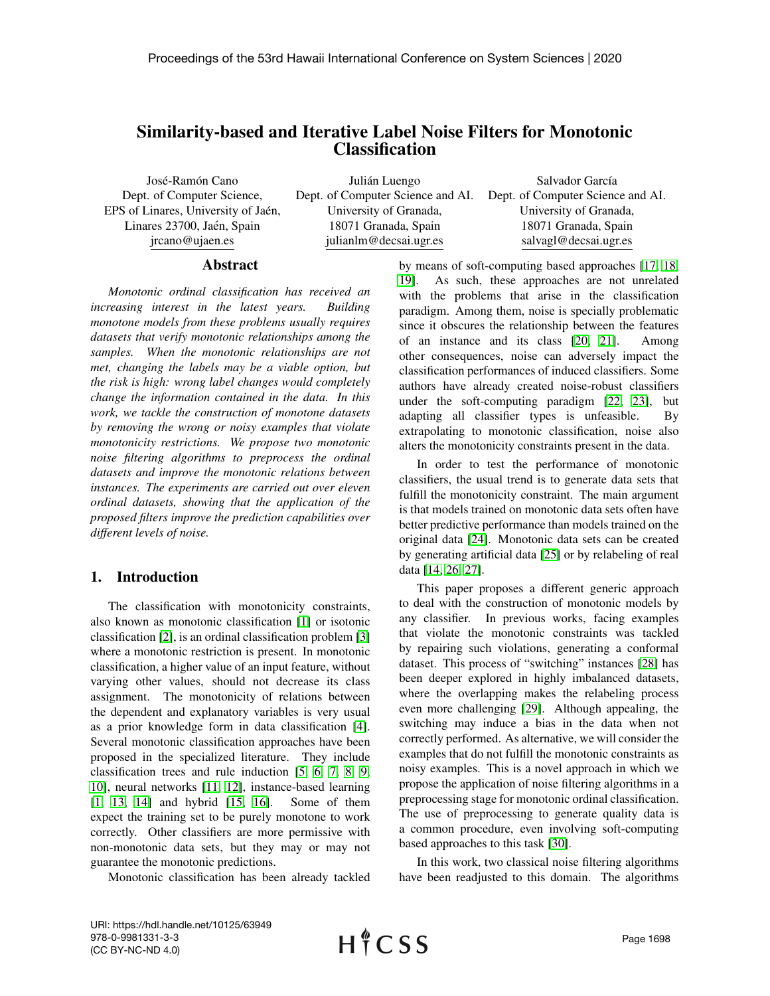# Similarity-based and Iterative Label Noise Filters for Monotonic **Classification**

José-Ramón Cano Dept. of Computer Science, EPS of Linares, University of Jaén, Linares 23700, Jaén, Spain jrcano@ujaen.es

Julián Luengo University of Granada, 18071 Granada, Spain julianlm@decsai.ugr.es

Dept. of Computer Science and AI. Dept. of Computer Science and AI. Salvador García University of Granada, 18071 Granada, Spain salvagl@decsai.ugr.es

#### Abstract

*Monotonic ordinal classification has received an increasing interest in the latest years. Building monotone models from these problems usually requires datasets that verify monotonic relationships among the samples. When the monotonic relationships are not met, changing the labels may be a viable option, but the risk is high: wrong label changes would completely change the information contained in the data. In this work, we tackle the construction of monotone datasets by removing the wrong or noisy examples that violate monotonicity restrictions. We propose two monotonic noise filtering algorithms to preprocess the ordinal datasets and improve the monotonic relations between instances. The experiments are carried out over eleven ordinal datasets, showing that the application of the proposed filters improve the prediction capabilities over different levels of noise.*

## 1. Introduction

The classification with monotonicity constraints, also known as monotonic classification [\[1\]](#page-7-0) or isotonic classification [\[2\]](#page-7-1), is an ordinal classification problem [\[3\]](#page-7-2) where a monotonic restriction is present. In monotonic classification, a higher value of an input feature, without varying other values, should not decrease its class assignment. The monotonicity of relations between the dependent and explanatory variables is very usual as a prior knowledge form in data classification [\[4\]](#page-7-3). Several monotonic classification approaches have been proposed in the specialized literature. They include classification trees and rule induction [\[5,](#page-7-4) [6,](#page-7-5) [7,](#page-7-6) [8,](#page-7-7) [9,](#page-7-8) [10\]](#page-7-9), neural networks [\[11,](#page-7-10) [12\]](#page-7-11), instance-based learning [\[1,](#page-7-0) [13,](#page-7-12) [14\]](#page-7-13) and hybrid [\[15,](#page-7-14) [16\]](#page-7-15). Some of them expect the training set to be purely monotone to work correctly. Other classifiers are more permissive with non-monotonic data sets, but they may or may not guarantee the monotonic predictions.

Monotonic classification has been already tackled

by means of soft-computing based approaches [\[17,](#page-7-16) [18,](#page-7-17) [19\]](#page-7-18). As such, these approaches are not unrelated with the problems that arise in the classification paradigm. Among them, noise is specially problematic since it obscures the relationship between the features of an instance and its class [\[20,](#page-7-19) [21\]](#page-7-20). Among other consequences, noise can adversely impact the classification performances of induced classifiers. Some authors have already created noise-robust classifiers under the soft-computing paradigm [\[22,](#page-7-21) [23\]](#page-7-22), but adapting all classifier types is unfeasible. By extrapolating to monotonic classification, noise also alters the monotonicity constraints present in the data.

In order to test the performance of monotonic classifiers, the usual trend is to generate data sets that fulfill the monotonicity constraint. The main argument is that models trained on monotonic data sets often have better predictive performance than models trained on the original data [\[24\]](#page-7-23). Monotonic data sets can be created by generating artificial data [\[25\]](#page-7-24) or by relabeling of real data [\[14,](#page-7-13) [26,](#page-7-25) [27\]](#page-7-26).

This paper proposes a different generic approach to deal with the construction of monotonic models by any classifier. In previous works, facing examples that violate the monotonic constraints was tackled by repairing such violations, generating a conformal dataset. This process of "switching" instances [\[28\]](#page-7-27) has been deeper explored in highly imbalanced datasets, where the overlapping makes the relabeling process even more challenging [\[29\]](#page-7-28). Although appealing, the switching may induce a bias in the data when not correctly performed. As alternative, we will consider the examples that do not fulfill the monotonic constraints as noisy examples. This is a novel approach in which we propose the application of noise filtering algorithms in a preprocessing stage for monotonic ordinal classification. The use of preprocessing to generate quality data is a common procedure, even involving soft-computing based approaches to this task [\[30\]](#page-7-29).

In this work, two classical noise filtering algorithms have been readjusted to this domain. The algorithms

URI: https://hdl.handle.net/10125/63949 978-0-9981331-3-3 (CC BY-NC-ND 4.0)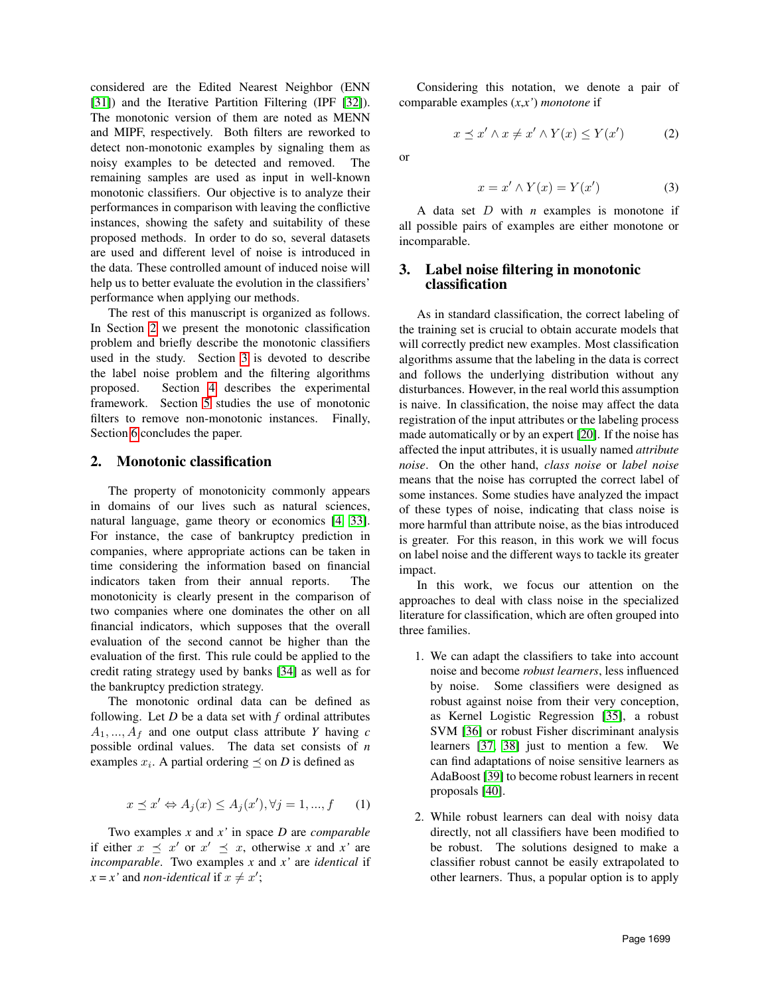considered are the Edited Nearest Neighbor (ENN [\[31\]](#page-7-30)) and the Iterative Partition Filtering (IPF [\[32\]](#page-7-31)). The monotonic version of them are noted as MENN and MIPF, respectively. Both filters are reworked to detect non-monotonic examples by signaling them as noisy examples to be detected and removed. The remaining samples are used as input in well-known monotonic classifiers. Our objective is to analyze their performances in comparison with leaving the conflictive instances, showing the safety and suitability of these proposed methods. In order to do so, several datasets are used and different level of noise is introduced in the data. These controlled amount of induced noise will help us to better evaluate the evolution in the classifiers' performance when applying our methods.

The rest of this manuscript is organized as follows. In Section [2](#page-1-0) we present the monotonic classification problem and briefly describe the monotonic classifiers used in the study. Section [3](#page-1-1) is devoted to describe the label noise problem and the filtering algorithms proposed. Section [4](#page-3-0) describes the experimental framework. Section [5](#page-4-0) studies the use of monotonic filters to remove non-monotonic instances. Finally, Section [6](#page-6-0) concludes the paper.

#### <span id="page-1-0"></span>2. Monotonic classification

The property of monotonicity commonly appears in domains of our lives such as natural sciences, natural language, game theory or economics [\[4,](#page-7-3) [33\]](#page-8-0). For instance, the case of bankruptcy prediction in companies, where appropriate actions can be taken in time considering the information based on financial indicators taken from their annual reports. The monotonicity is clearly present in the comparison of two companies where one dominates the other on all financial indicators, which supposes that the overall evaluation of the second cannot be higher than the evaluation of the first. This rule could be applied to the credit rating strategy used by banks [\[34\]](#page-8-1) as well as for the bankruptcy prediction strategy.

The monotonic ordinal data can be defined as following. Let *D* be a data set with *f* ordinal attributes  $A_1, \ldots, A_f$  and one output class attribute *Y* having *c* possible ordinal values. The data set consists of *n* examples  $x_i$ . A partial ordering  $\preceq$  on *D* is defined as

$$
x \preceq x' \Leftrightarrow A_j(x) \le A_j(x'), \forall j = 1, ..., f \quad (1)
$$

Two examples *x* and *x'* in space *D* are *comparable* if either  $x \preceq x'$  or  $x' \preceq x$ , otherwise *x* and *x'* are *incomparable*. Two examples *x* and *x'* are *identical* if  $x = x'$  and *non-identical* if  $x \neq x'$ ;

Considering this notation, we denote a pair of comparable examples (*x*,*x'*) *monotone* if

$$
x \preceq x' \land x \neq x' \land Y(x) \le Y(x') \tag{2}
$$

or

$$
x = x' \wedge Y(x) = Y(x')
$$
 (3)

A data set D with *n* examples is monotone if all possible pairs of examples are either monotone or incomparable.

# <span id="page-1-1"></span>3. Label noise filtering in monotonic classification

As in standard classification, the correct labeling of the training set is crucial to obtain accurate models that will correctly predict new examples. Most classification algorithms assume that the labeling in the data is correct and follows the underlying distribution without any disturbances. However, in the real world this assumption is naive. In classification, the noise may affect the data registration of the input attributes or the labeling process made automatically or by an expert [\[20\]](#page-7-19). If the noise has affected the input attributes, it is usually named *attribute noise*. On the other hand, *class noise* or *label noise* means that the noise has corrupted the correct label of some instances. Some studies have analyzed the impact of these types of noise, indicating that class noise is more harmful than attribute noise, as the bias introduced is greater. For this reason, in this work we will focus on label noise and the different ways to tackle its greater impact.

In this work, we focus our attention on the approaches to deal with class noise in the specialized literature for classification, which are often grouped into three families.

- 1. We can adapt the classifiers to take into account noise and become *robust learners*, less influenced by noise. Some classifiers were designed as robust against noise from their very conception, as Kernel Logistic Regression [\[35\]](#page-8-2), a robust SVM [\[36\]](#page-8-3) or robust Fisher discriminant analysis learners [\[37,](#page-8-4) [38\]](#page-8-5) just to mention a few. We can find adaptations of noise sensitive learners as AdaBoost [\[39\]](#page-8-6) to become robust learners in recent proposals [\[40\]](#page-8-7).
- 2. While robust learners can deal with noisy data directly, not all classifiers have been modified to be robust. The solutions designed to make a classifier robust cannot be easily extrapolated to other learners. Thus, a popular option is to apply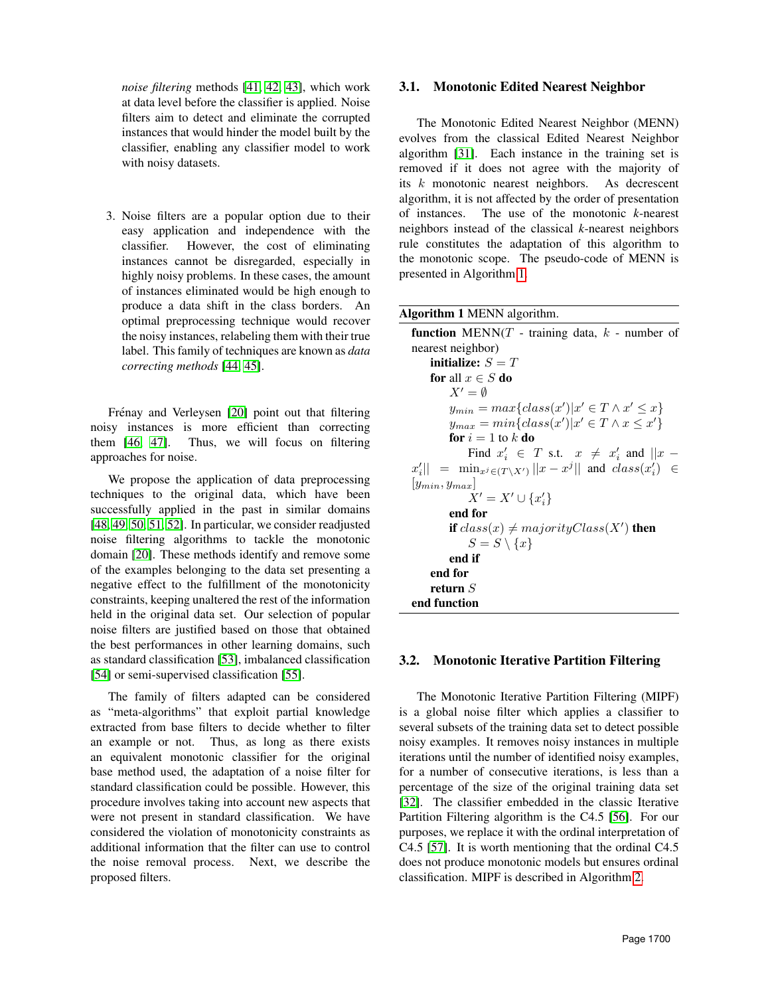*noise filtering* methods [\[41,](#page-8-8) [42,](#page-8-9) [43\]](#page-8-10), which work at data level before the classifier is applied. Noise filters aim to detect and eliminate the corrupted instances that would hinder the model built by the classifier, enabling any classifier model to work with noisy datasets.

3. Noise filters are a popular option due to their easy application and independence with the classifier. However, the cost of eliminating instances cannot be disregarded, especially in highly noisy problems. In these cases, the amount of instances eliminated would be high enough to produce a data shift in the class borders. An optimal preprocessing technique would recover the noisy instances, relabeling them with their true label. This family of techniques are known as *data correcting methods* [\[44,](#page-8-11) [45\]](#page-8-12).

Frénay and Verleysen [\[20\]](#page-7-19) point out that filtering noisy instances is more efficient than correcting them [\[46,](#page-8-13) [47\]](#page-8-14). Thus, we will focus on filtering approaches for noise.

We propose the application of data preprocessing techniques to the original data, which have been successfully applied in the past in similar domains [\[48,](#page-8-15) [49,](#page-8-16) [50,](#page-8-17) [51,](#page-8-18) [52\]](#page-8-19). In particular, we consider readjusted noise filtering algorithms to tackle the monotonic domain [\[20\]](#page-7-19). These methods identify and remove some of the examples belonging to the data set presenting a negative effect to the fulfillment of the monotonicity constraints, keeping unaltered the rest of the information held in the original data set. Our selection of popular noise filters are justified based on those that obtained the best performances in other learning domains, such as standard classification [\[53\]](#page-8-20), imbalanced classification [\[54\]](#page-8-21) or semi-supervised classification [\[55\]](#page-8-22).

The family of filters adapted can be considered as "meta-algorithms" that exploit partial knowledge extracted from base filters to decide whether to filter an example or not. Thus, as long as there exists an equivalent monotonic classifier for the original base method used, the adaptation of a noise filter for standard classification could be possible. However, this procedure involves taking into account new aspects that were not present in standard classification. We have considered the violation of monotonicity constraints as additional information that the filter can use to control the noise removal process. Next, we describe the proposed filters.

# 3.1. Monotonic Edited Nearest Neighbor

The Monotonic Edited Nearest Neighbor (MENN) evolves from the classical Edited Nearest Neighbor algorithm [\[31\]](#page-7-30). Each instance in the training set is removed if it does not agree with the majority of its k monotonic nearest neighbors. As decrescent algorithm, it is not affected by the order of presentation of instances. The use of the monotonic *k*-nearest neighbors instead of the classical *k*-nearest neighbors rule constitutes the adaptation of this algorithm to the monotonic scope. The pseudo-code of MENN is presented in Algorithm [1.](#page-2-0)

<span id="page-2-0"></span>

| <b>Algorithm 1 MENN algorithm.</b> |  |  |  |
|------------------------------------|--|--|--|
|------------------------------------|--|--|--|

| <b>function</b> MENN( $T$ - training data, $k$ - number of                   |
|------------------------------------------------------------------------------|
| nearest neighbor)                                                            |
| initialize: $S = T$                                                          |
| for all $x \in S$ do                                                         |
| $X' = \emptyset$                                                             |
| $y_{min} = max\{class(x') x' \in T \wedge x' \leq x\}$                       |
| $y_{max} = min\{class(x') x' \in T \wedge x \leq x'\}$                       |
| for $i=1$ to k do                                                            |
| Find $x'_i \in T$ s.t. $x \neq x'_i$ and $  x -$                             |
| $x'_i$ = $\min_{x^j \in (T \setminus X')}   x - x^j  $ and $class(x'_i) \in$ |
| $ y_{min}, y_{max} $                                                         |
| $X' = X' \cup \{x'_i\}$                                                      |
| end for                                                                      |
| <b>if</b> $class(x) \neq majorityClass(X')$ then                             |
| $S = S \setminus \{x\}$                                                      |
| end if                                                                       |
| end for                                                                      |
| return $S$                                                                   |
| end function                                                                 |
|                                                                              |

#### 3.2. Monotonic Iterative Partition Filtering

The Monotonic Iterative Partition Filtering (MIPF) is a global noise filter which applies a classifier to several subsets of the training data set to detect possible noisy examples. It removes noisy instances in multiple iterations until the number of identified noisy examples, for a number of consecutive iterations, is less than a percentage of the size of the original training data set [\[32\]](#page-7-31). The classifier embedded in the classic Iterative Partition Filtering algorithm is the C4.5 [\[56\]](#page-8-23). For our purposes, we replace it with the ordinal interpretation of C4.5 [\[57\]](#page-8-24). It is worth mentioning that the ordinal C4.5 does not produce monotonic models but ensures ordinal classification. MIPF is described in Algorithm [2.](#page-3-1)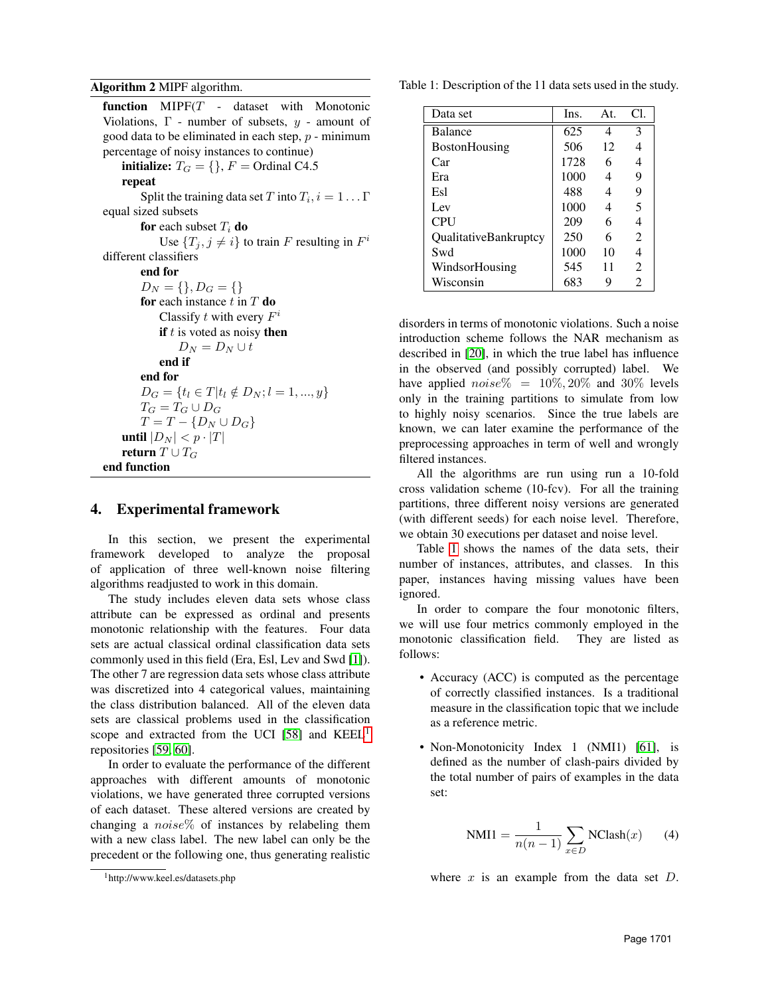### <span id="page-3-1"></span>Algorithm 2 MIPF algorithm.

| <b>function</b> $MIPF(T - dataset with Monotonic)$              |
|-----------------------------------------------------------------|
| Violations, $\Gamma$ - number of subsets, $y$ - amount of       |
| good data to be eliminated in each step, $p$ - minimum          |
| percentage of noisy instances to continue)                      |
| <b>initialize:</b> $T_G = \{\}, F = \text{Ordinal C4.5}\}$      |
| repeat                                                          |
| Split the training data set T into $T_i$ , $i = 1 \dots \Gamma$ |
| equal sized subsets                                             |
| for each subset $T_i$ do                                        |
| Use $\{T_j, j \neq i\}$ to train F resulting in $F^i$           |
| different classifiers                                           |
| end for                                                         |
| $D_N = \{\}, D_G = \{\}$                                        |
| <b>for</b> each instance t in T <b>do</b>                       |
| Classify t with every $F^i$                                     |
| <b>if</b> $t$ is voted as noisy <b>then</b>                     |
| $D_N = D_N \cup t$                                              |
| end if                                                          |
| end for                                                         |
| $D_G = \{t_l \in T   t_l \notin D_N; l = 1, , y\}$              |
| $T_G=T_G\cup D_G$                                               |
| $T = T - \{D_N \cup D_G\}$                                      |
| <b>until</b> $ D_N  < p \cdot  T $                              |
| return $T \cup T_G$                                             |
| end function                                                    |

# <span id="page-3-0"></span>4. Experimental framework

In this section, we present the experimental framework developed to analyze the proposal of application of three well-known noise filtering algorithms readjusted to work in this domain.

The study includes eleven data sets whose class attribute can be expressed as ordinal and presents monotonic relationship with the features. Four data sets are actual classical ordinal classification data sets commonly used in this field (Era, Esl, Lev and Swd [\[1\]](#page-7-0)). The other 7 are regression data sets whose class attribute was discretized into 4 categorical values, maintaining the class distribution balanced. All of the eleven data sets are classical problems used in the classification scope and extracted from the UCI [\[58\]](#page-8-25) and  $KEEL<sup>1</sup>$  $KEEL<sup>1</sup>$  $KEEL<sup>1</sup>$ repositories [\[59,](#page-8-26) [60\]](#page-8-27).

In order to evaluate the performance of the different approaches with different amounts of monotonic violations, we have generated three corrupted versions of each dataset. These altered versions are created by changing a  $noise\%$  of instances by relabeling them with a new class label. The new label can only be the precedent or the following one, thus generating realistic

<span id="page-3-3"></span>Table 1: Description of the 11 data sets used in the study.

| Data set              | Ins. | At. | Cl.            |
|-----------------------|------|-----|----------------|
| <b>Balance</b>        | 625  | 4   | 3              |
| <b>BostonHousing</b>  | 506  | 12  | $\overline{4}$ |
| Car                   | 1728 | 6   | 4              |
| Era                   | 1000 | 4   | 9              |
| Esl                   | 488  | 4   | 9              |
| Lev                   | 1000 | 4   | 5              |
| <b>CPU</b>            | 209  | 6   | 4              |
| QualitativeBankruptcy | 250  | 6   | $\mathcal{L}$  |
| Swd                   | 1000 | 10  | 4              |
| WindsorHousing        | 545  | 11  | $\mathfrak{D}$ |
| Wisconsin             | 683  | 9   | $\mathfrak{D}$ |

disorders in terms of monotonic violations. Such a noise introduction scheme follows the NAR mechanism as described in [\[20\]](#page-7-19), in which the true label has influence in the observed (and possibly corrupted) label. We have applied  $noise\% = 10\%, 20\%$  and  $30\%$  levels only in the training partitions to simulate from low to highly noisy scenarios. Since the true labels are known, we can later examine the performance of the preprocessing approaches in term of well and wrongly filtered instances.

All the algorithms are run using run a 10-fold cross validation scheme (10-fcv). For all the training partitions, three different noisy versions are generated (with different seeds) for each noise level. Therefore, we obtain 30 executions per dataset and noise level.

Table [1](#page-3-3) shows the names of the data sets, their number of instances, attributes, and classes. In this paper, instances having missing values have been ignored.

In order to compare the four monotonic filters, we will use four metrics commonly employed in the monotonic classification field. They are listed as follows:

- Accuracy (ACC) is computed as the percentage of correctly classified instances. Is a traditional measure in the classification topic that we include as a reference metric.
- Non-Monotonicity Index 1 (NMI1) [\[61\]](#page-8-28), is defined as the number of clash-pairs divided by the total number of pairs of examples in the data set:

$$
NMI1 = \frac{1}{n(n-1)} \sum_{x \in D} NClash(x) \qquad (4)
$$

where  $x$  is an example from the data set  $D$ .

<span id="page-3-2"></span><sup>1</sup>http://www.keel.es/datasets.php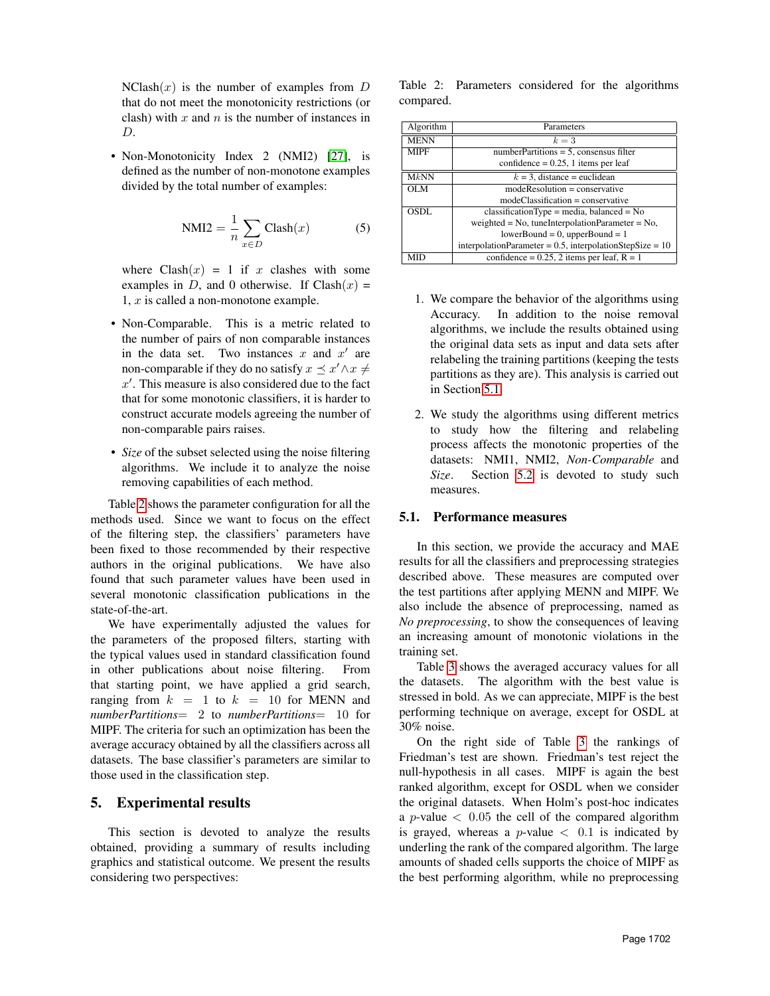$NClash(x)$  is the number of examples from D that do not meet the monotonicity restrictions (or clash) with  $x$  and  $n$  is the number of instances in D.

• Non-Monotonicity Index 2 (NMI2) [\[27\]](#page-7-26), is defined as the number of non-monotone examples divided by the total number of examples:

$$
NMI2 = \frac{1}{n} \sum_{x \in D} Clash(x)
$$
 (5)

where  $Clash(x) = 1$  if x clashes with some examples in D, and 0 otherwise. If  $Clash(x)$  =  $1, x$  is called a non-monotone example.

- Non-Comparable. This is a metric related to the number of pairs of non comparable instances in the data set. Two instances x and  $x'$  are non-comparable if they do no satisfy  $x \preceq x' \land x \neq 0$  $x'$ . This measure is also considered due to the fact that for some monotonic classifiers, it is harder to construct accurate models agreeing the number of non-comparable pairs raises.
- *Size* of the subset selected using the noise filtering algorithms. We include it to analyze the noise removing capabilities of each method.

Table [2](#page-4-1) shows the parameter configuration for all the methods used. Since we want to focus on the effect of the filtering step, the classifiers' parameters have been fixed to those recommended by their respective authors in the original publications. We have also found that such parameter values have been used in several monotonic classification publications in the state-of-the-art.

We have experimentally adjusted the values for the parameters of the proposed filters, starting with the typical values used in standard classification found in other publications about noise filtering. From that starting point, we have applied a grid search, ranging from  $k = 1$  to  $k = 10$  for MENN and *numberPartitions*= 2 to *numberPartitions*= 10 for MIPF. The criteria for such an optimization has been the average accuracy obtained by all the classifiers across all datasets. The base classifier's parameters are similar to those used in the classification step.

# <span id="page-4-0"></span>5. Experimental results

This section is devoted to analyze the results obtained, providing a summary of results including graphics and statistical outcome. We present the results considering two perspectives:

<span id="page-4-1"></span>Table 2: Parameters considered for the algorithms compared.

| Algorithm   | Parameters                                                    |  |  |  |  |
|-------------|---------------------------------------------------------------|--|--|--|--|
| <b>MENN</b> | $k=3$                                                         |  |  |  |  |
| <b>MIPF</b> | $numberPartitions = 5$ , consensus filter                     |  |  |  |  |
|             | confidence = $0.25$ , 1 items per leaf                        |  |  |  |  |
| MkNN        | $k = 3$ , distance = euclidean                                |  |  |  |  |
| <b>OLM</b>  | $modeResolution = conservative$                               |  |  |  |  |
|             | $modeClassifier = conservative$                               |  |  |  |  |
| OSDL        | $classificationType = media, balanced = No$                   |  |  |  |  |
|             | weighted = $No$ , tuneInterpolationParameter = $No$ ,         |  |  |  |  |
|             | $lowerBound = 0$ , upperBound = 1                             |  |  |  |  |
|             | interpolationParameter = $0.5$ , interpolationStepSize = $10$ |  |  |  |  |
| MID         | confidence = $0.25$ , 2 items per leaf, R = 1                 |  |  |  |  |

- 1. We compare the behavior of the algorithms using Accuracy. In addition to the noise removal algorithms, we include the results obtained using the original data sets as input and data sets after relabeling the training partitions (keeping the tests partitions as they are). This analysis is carried out in Section [5.1.](#page-4-2)
- 2. We study the algorithms using different metrics to study how the filtering and relabeling process affects the monotonic properties of the datasets: NMI1, NMI2, *Non-Comparable* and *Size*. Section [5.2](#page-5-0) is devoted to study such measures.

### <span id="page-4-2"></span>5.1. Performance measures

In this section, we provide the accuracy and MAE results for all the classifiers and preprocessing strategies described above. These measures are computed over the test partitions after applying MENN and MIPF. We also include the absence of preprocessing, named as *No preprocessing*, to show the consequences of leaving an increasing amount of monotonic violations in the training set.

Table [3](#page-5-1) shows the averaged accuracy values for all the datasets. The algorithm with the best value is stressed in bold. As we can appreciate, MIPF is the best performing technique on average, except for OSDL at 30% noise.

On the right side of Table [3](#page-5-1) the rankings of Friedman's test are shown. Friedman's test reject the null-hypothesis in all cases. MIPF is again the best ranked algorithm, except for OSDL when we consider the original datasets. When Holm's post-hoc indicates a *p*-value  $\langle 0.05 \rangle$  the cell of the compared algorithm is grayed, whereas a *p*-value  $\langle 0.1 \rangle$  is indicated by underling the rank of the compared algorithm. The large amounts of shaded cells supports the choice of MIPF as the best performing algorithm, while no preprocessing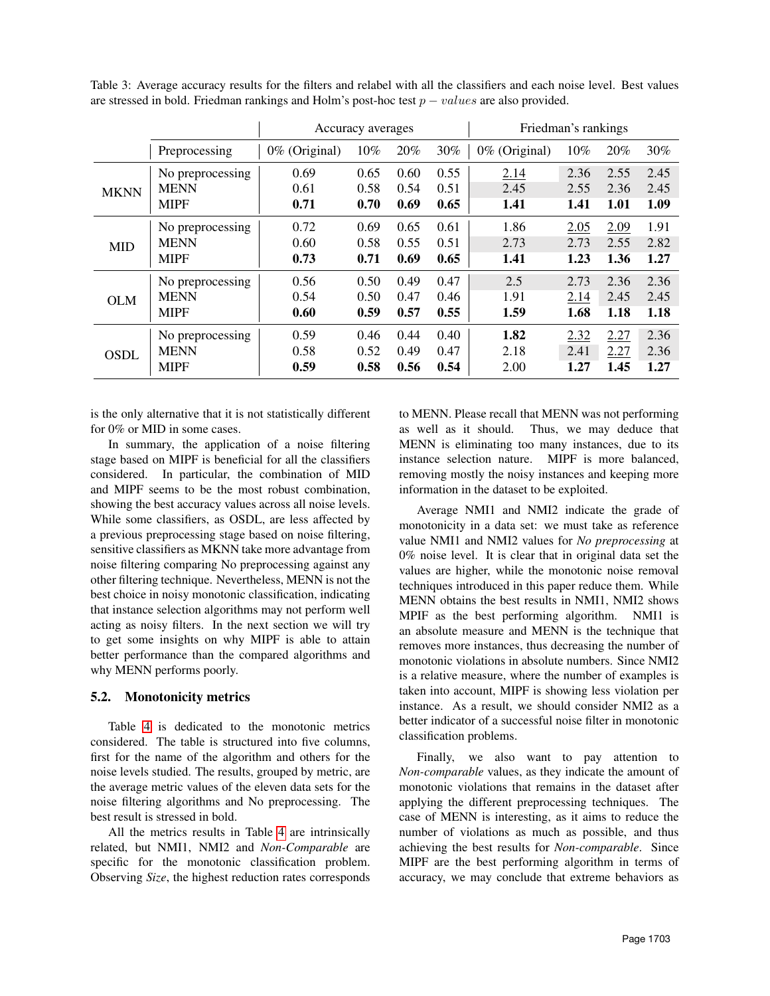<span id="page-5-1"></span>Table 3: Average accuracy results for the filters and relabel with all the classifiers and each noise level. Best values are stressed in bold. Friedman rankings and Holm's post-hoc test  $p - values$  are also provided.

|                                                        |                  | Accuracy averages |      |      | Friedman's rankings |               |        |      |      |
|--------------------------------------------------------|------------------|-------------------|------|------|---------------------|---------------|--------|------|------|
|                                                        | Preprocessing    | 0% (Original)     | 10%  | 20%  | 30%                 | 0% (Original) | $10\%$ | 20%  | 30%  |
| <b>MKNN</b><br><b>MID</b><br><b>OLM</b><br><b>OSDL</b> | No preprocessing | 0.69              | 0.65 | 0.60 | 0.55                | 2.14          | 2.36   | 2.55 | 2.45 |
|                                                        | <b>MENN</b>      | 0.61              | 0.58 | 0.54 | 0.51                | 2.45          | 2.55   | 2.36 | 2.45 |
|                                                        | <b>MIPF</b>      | 0.71              | 0.70 | 0.69 | 0.65                | 1.41          | 1.41   | 1.01 | 1.09 |
|                                                        | No preprocessing | 0.72              | 0.69 | 0.65 | 0.61                | 1.86          | 2.05   | 2.09 | 1.91 |
|                                                        | <b>MENN</b>      | 0.60              | 0.58 | 0.55 | 0.51                | 2.73          | 2.73   | 2.55 | 2.82 |
|                                                        | <b>MIPF</b>      | 0.73              | 0.71 | 0.69 | 0.65                | 1.41          | 1.23   | 1.36 | 1.27 |
|                                                        | No preprocessing | 0.56              | 0.50 | 0.49 | 0.47                | 2.5           | 2.73   | 2.36 | 2.36 |
|                                                        | <b>MENN</b>      | 0.54              | 0.50 | 0.47 | 0.46                | 1.91          | 2.14   | 2.45 | 2.45 |
|                                                        | <b>MIPF</b>      | 0.60              | 0.59 | 0.57 | 0.55                | 1.59          | 1.68   | 1.18 | 1.18 |
|                                                        | No preprocessing | 0.59              | 0.46 | 0.44 | 0.40                | 1.82          | 2.32   | 2.27 | 2.36 |
|                                                        | <b>MENN</b>      | 0.58              | 0.52 | 0.49 | 0.47                | 2.18          | 2.41   | 2.27 | 2.36 |
|                                                        | <b>MIPF</b>      | 0.59              | 0.58 | 0.56 | 0.54                | 2.00          | 1.27   | 1.45 | 1.27 |

is the only alternative that it is not statistically different for 0% or MID in some cases.

In summary, the application of a noise filtering stage based on MIPF is beneficial for all the classifiers considered. In particular, the combination of MID and MIPF seems to be the most robust combination, showing the best accuracy values across all noise levels. While some classifiers, as OSDL, are less affected by a previous preprocessing stage based on noise filtering, sensitive classifiers as MKNN take more advantage from noise filtering comparing No preprocessing against any other filtering technique. Nevertheless, MENN is not the best choice in noisy monotonic classification, indicating that instance selection algorithms may not perform well acting as noisy filters. In the next section we will try to get some insights on why MIPF is able to attain better performance than the compared algorithms and why MENN performs poorly.

### <span id="page-5-0"></span>5.2. Monotonicity metrics

Table [4](#page-6-1) is dedicated to the monotonic metrics considered. The table is structured into five columns, first for the name of the algorithm and others for the noise levels studied. The results, grouped by metric, are the average metric values of the eleven data sets for the noise filtering algorithms and No preprocessing. The best result is stressed in bold.

All the metrics results in Table [4](#page-6-1) are intrinsically related, but NMI1, NMI2 and *Non-Comparable* are specific for the monotonic classification problem. Observing *Size*, the highest reduction rates corresponds to MENN. Please recall that MENN was not performing as well as it should. Thus, we may deduce that MENN is eliminating too many instances, due to its instance selection nature. MIPF is more balanced, removing mostly the noisy instances and keeping more information in the dataset to be exploited.

Average NMI1 and NMI2 indicate the grade of monotonicity in a data set: we must take as reference value NMI1 and NMI2 values for *No preprocessing* at 0% noise level. It is clear that in original data set the values are higher, while the monotonic noise removal techniques introduced in this paper reduce them. While MENN obtains the best results in NMI1, NMI2 shows MPIF as the best performing algorithm. NMI1 is an absolute measure and MENN is the technique that removes more instances, thus decreasing the number of monotonic violations in absolute numbers. Since NMI2 is a relative measure, where the number of examples is taken into account, MIPF is showing less violation per instance. As a result, we should consider NMI2 as a better indicator of a successful noise filter in monotonic classification problems.

Finally, we also want to pay attention to *Non-comparable* values, as they indicate the amount of monotonic violations that remains in the dataset after applying the different preprocessing techniques. The case of MENN is interesting, as it aims to reduce the number of violations as much as possible, and thus achieving the best results for *Non-comparable*. Since MIPF are the best performing algorithm in terms of accuracy, we may conclude that extreme behaviors as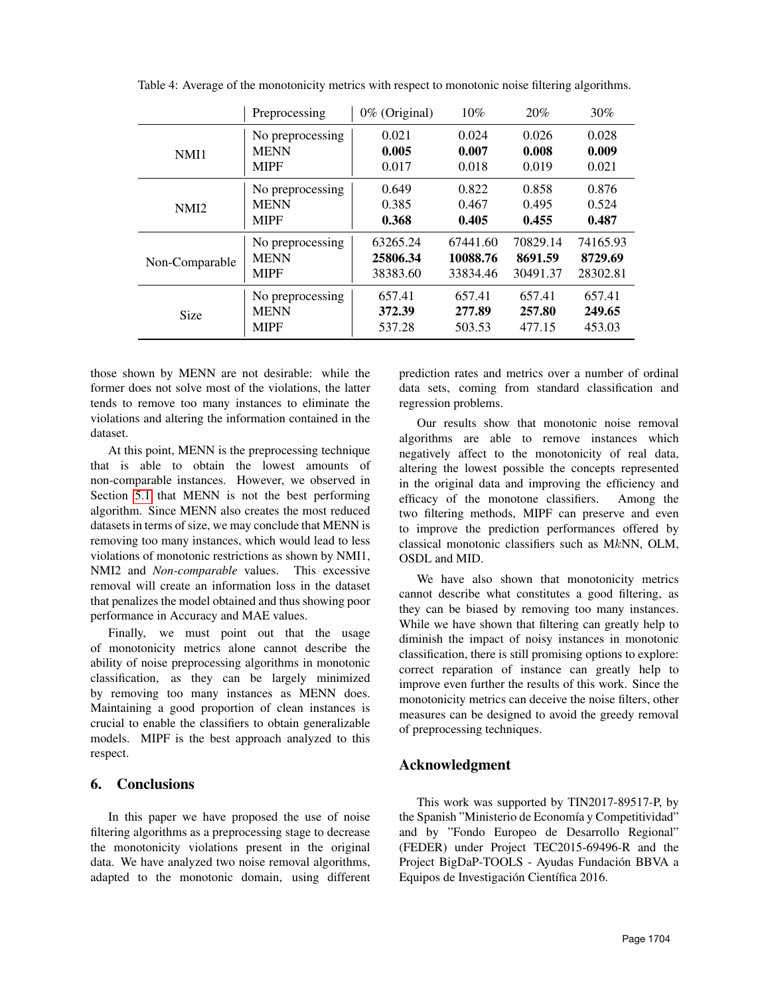|                  | Preprocessing    | 0% (Original) | 10%      | 20%      | $30\%$   |
|------------------|------------------|---------------|----------|----------|----------|
|                  | No preprocessing | 0.021         | 0.024    | 0.026    | 0.028    |
| NMI1             | <b>MENN</b>      | 0.005         | 0.007    | 0.008    | 0.009    |
|                  | <b>MIPF</b>      | 0.017         | 0.018    | 0.019    | 0.021    |
|                  | No preprocessing | 0.649         | 0.822    | 0.858    | 0.876    |
| NMI <sub>2</sub> | <b>MENN</b>      | 0.385         | 0.467    | 0.495    | 0.524    |
|                  | <b>MIPF</b>      | 0.368         | 0.405    | 0.455    | 0.487    |
| Non-Comparable   | No preprocessing | 63265.24      | 67441.60 | 70829.14 | 74165.93 |
|                  | <b>MENN</b>      | 25806.34      | 10088.76 | 8691.59  | 8729.69  |
|                  | <b>MIPF</b>      | 38383.60      | 33834.46 | 30491.37 | 28302.81 |
| Size             | No preprocessing | 657.41        | 657.41   | 657.41   | 657.41   |
|                  | <b>MENN</b>      | 372.39        | 277.89   | 257.80   | 249.65   |
|                  | <b>MIPF</b>      | 537.28        | 503.53   | 477.15   | 453.03   |

<span id="page-6-1"></span>Table 4: Average of the monotonicity metrics with respect to monotonic noise filtering algorithms.

those shown by MENN are not desirable: while the former does not solve most of the violations, the latter tends to remove too many instances to eliminate the violations and altering the information contained in the dataset.

At this point, MENN is the preprocessing technique that is able to obtain the lowest amounts of non-comparable instances. However, we observed in Section [5.1](#page-4-2) that MENN is not the best performing algorithm. Since MENN also creates the most reduced datasets in terms of size, we may conclude that MENN is removing too many instances, which would lead to less violations of monotonic restrictions as shown by NMI1, NMI2 and *Non-comparable* values. This excessive removal will create an information loss in the dataset that penalizes the model obtained and thus showing poor performance in Accuracy and MAE values.

Finally, we must point out that the usage of monotonicity metrics alone cannot describe the ability of noise preprocessing algorithms in monotonic classification, as they can be largely minimized by removing too many instances as MENN does. Maintaining a good proportion of clean instances is crucial to enable the classifiers to obtain generalizable models. MIPF is the best approach analyzed to this respect.

# <span id="page-6-0"></span>6. Conclusions

In this paper we have proposed the use of noise filtering algorithms as a preprocessing stage to decrease the monotonicity violations present in the original data. We have analyzed two noise removal algorithms, adapted to the monotonic domain, using different prediction rates and metrics over a number of ordinal data sets, coming from standard classification and regression problems.

Our results show that monotonic noise removal algorithms are able to remove instances which negatively affect to the monotonicity of real data, altering the lowest possible the concepts represented in the original data and improving the efficiency and efficacy of the monotone classifiers. Among the two filtering methods, MIPF can preserve and even to improve the prediction performances offered by classical monotonic classifiers such as MkNN, OLM, OSDL and MID.

We have also shown that monotonicity metrics cannot describe what constitutes a good filtering, as they can be biased by removing too many instances. While we have shown that filtering can greatly help to diminish the impact of noisy instances in monotonic classification, there is still promising options to explore: correct reparation of instance can greatly help to improve even further the results of this work. Since the monotonicity metrics can deceive the noise filters, other measures can be designed to avoid the greedy removal of preprocessing techniques.

# Acknowledgment

This work was supported by TIN2017-89517-P, by the Spanish "Ministerio de Economía y Competitividad" and by "Fondo Europeo de Desarrollo Regional" (FEDER) under Project TEC2015-69496-R and the Project BigDaP-TOOLS - Ayudas Fundación BBVA a Equipos de Investigación Científica 2016.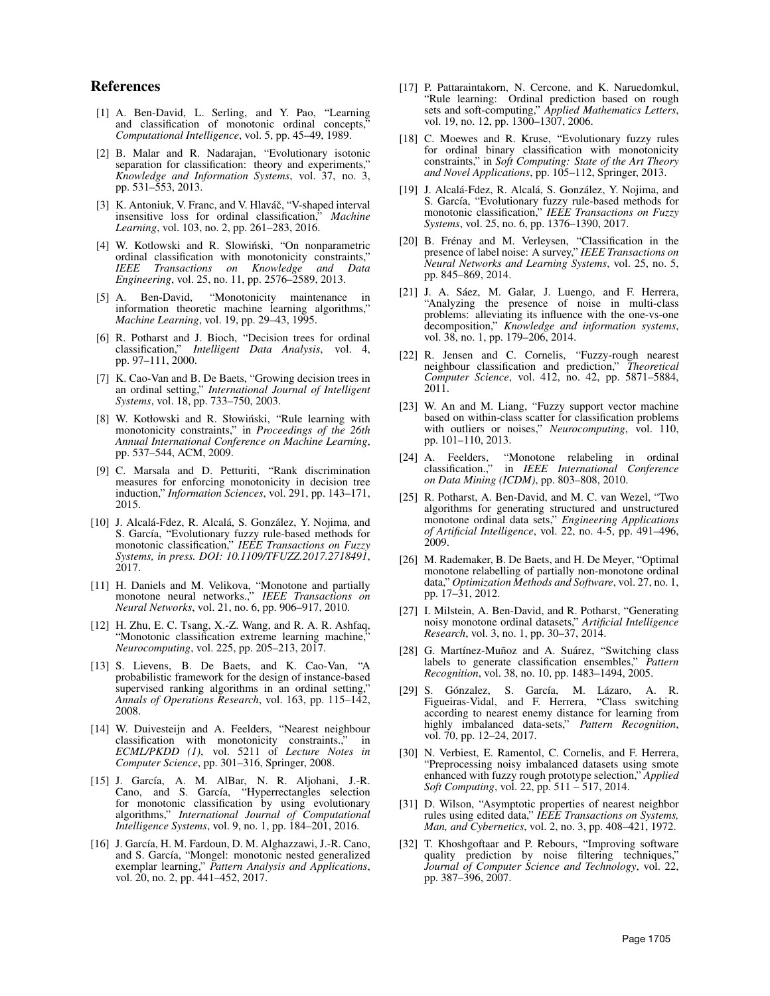## References

- <span id="page-7-0"></span>[1] A. Ben-David, L. Serling, and Y. Pao, "Learning and classification of monotonic ordinal concepts, *Computational Intelligence*, vol. 5, pp. 45–49, 1989.
- <span id="page-7-1"></span>[2] B. Malar and R. Nadarajan, "Evolutionary isotonic separation for classification: theory and experiments, *Knowledge and Information Systems*, vol. 37, no. 3, pp. 531–553, 2013.
- <span id="page-7-2"></span>[3] K. Antoniuk, V. Franc, and V. Hlaváč, "V-shaped interval insensitive loss for ordinal classification," *Machine Learning*, vol. 103, no. 2, pp. 261–283, 2016.
- <span id="page-7-3"></span>[4] W. Kotlowski and R. Slowiński, "On nonparametric ordinal classification with monotonicity constraints," *IEEE Transactions on Knowledge and Data Engineering*, vol. 25, no. 11, pp. 2576–2589, 2013.
- <span id="page-7-4"></span>[5] A. Ben-David, "Monotonicity maintenance in information theoretic machine learning algorithms," *Machine Learning*, vol. 19, pp. 29–43, 1995.
- <span id="page-7-5"></span>[6] R. Potharst and J. Bioch, "Decision trees for ordinal classification," *Intelligent Data Analysis*, vol. 4, pp. 97–111, 2000.
- <span id="page-7-6"></span>[7] K. Cao-Van and B. De Baets, "Growing decision trees in an ordinal setting," *International Journal of Intelligent Systems*, vol. 18, pp. 733–750, 2003.
- <span id="page-7-7"></span>[8] W. Kotłowski and R. Słowiński, "Rule learning with monotonicity constraints," in *Proceedings of the 26th Annual International Conference on Machine Learning*, pp. 537–544, ACM, 2009.
- <span id="page-7-8"></span>[9] C. Marsala and D. Petturiti, "Rank discrimination measures for enforcing monotonicity in decision tree induction," *Information Sciences*, vol. 291, pp. 143–171, 2015.
- <span id="page-7-9"></span>[10] J. Alcalá-Fdez, R. Alcalá, S. González, Y. Nojima, and S. García, "Evolutionary fuzzy rule-based methods for monotonic classification," *IEEE Transactions on Fuzzy Systems, in press. DOI: 10.1109/TFUZZ.2017.2718491*, 2017.
- <span id="page-7-10"></span>[11] H. Daniels and M. Velikova, "Monotone and partially monotone neural networks.," *IEEE Transactions on Neural Networks*, vol. 21, no. 6, pp. 906–917, 2010.
- <span id="page-7-11"></span>[12] H. Zhu, E. C. Tsang, X.-Z. Wang, and R. A. R. Ashfaq, "Monotonic classification extreme learning machine, *Neurocomputing*, vol. 225, pp. 205–213, 2017.
- <span id="page-7-12"></span>[13] S. Lievens, B. De Baets, and K. Cao-Van, "A probabilistic framework for the design of instance-based supervised ranking algorithms in an ordinal setting, *Annals of Operations Research*, vol. 163, pp. 115–142, 2008.
- <span id="page-7-13"></span>[14] W. Duivesteijn and A. Feelders, "Nearest neighbour classification with monotonicity constraints.," in *ECML/PKDD (1)*, vol. 5211 of *Lecture Notes in Computer Science*, pp. 301–316, Springer, 2008.
- <span id="page-7-14"></span>[15] J. García, A. M. AlBar, N. R. Aljohani, J.-R. Cano, and S. García, "Hyperrectangles selection for monotonic classification by using evolutionary algorithms," *International Journal of Computational Intelligence Systems*, vol. 9, no. 1, pp. 184–201, 2016.
- <span id="page-7-15"></span>[16] J. García, H. M. Fardoun, D. M. Alghazzawi, J.-R. Cano, and S. García, "Mongel: monotonic nested generalized exemplar learning," *Pattern Analysis and Applications*, vol. 20, no. 2, pp. 441-452, 2017.
- <span id="page-7-16"></span>[17] P. Pattaraintakorn, N. Cercone, and K. Naruedomkul, 'Rule learning: Ordinal prediction based on rough sets and soft-computing," *Applied Mathematics Letters*, vol. 19, no. 12, pp. 1300–1307, 2006.
- <span id="page-7-17"></span>[18] C. Moewes and R. Kruse, "Evolutionary fuzzy rules for ordinal binary classification with monotonicity constraints," in *Soft Computing: State of the Art Theory and Novel Applications*, pp. 105–112, Springer, 2013.
- <span id="page-7-18"></span>[19] J. Alcalá-Fdez, R. Alcalá, S. González, Y. Nojima, and S. García, "Evolutionary fuzzy rule-based methods for monotonic classification," *IEEE Transactions on Fuzzy Systems*, vol. 25, no. 6, pp. 1376–1390, 2017.
- <span id="page-7-19"></span>[20] B. Frénay and M. Verleysen, "Classification in the presence of label noise: A survey," *IEEE Transactions on Neural Networks and Learning Systems*, vol. 25, no. 5, pp. 845–869, 2014.
- <span id="page-7-20"></span>[21] J. A. Sáez, M. Galar, J. Luengo, and F. Herrera, "Analyzing the presence of noise in multi-class problems: alleviating its influence with the one-vs-one decomposition," *Knowledge and information systems*, vol. 38, no. 1, pp. 179–206, 2014.
- <span id="page-7-21"></span>[22] R. Jensen and C. Cornelis, "Fuzzy-rough nearest neighbour classification and prediction," *Theoretical Computer Science*, vol. 412, no. 42, pp. 5871–5884, 2011.
- <span id="page-7-22"></span>[23] W. An and M. Liang, "Fuzzy support vector machine based on within-class scatter for classification problems with outliers or noises," *Neurocomputing*, vol. 110, pp. 101–110, 2013.
- <span id="page-7-23"></span>[24] A. Feelders, "Monotone relabeling in ordinal classification.," in *IEEE International Conference on Data Mining (ICDM)*, pp. 803–808, 2010.
- <span id="page-7-24"></span>[25] R. Potharst, A. Ben-David, and M. C. van Wezel, "Two algorithms for generating structured and unstructured monotone ordinal data sets," *Engineering Applications of Artificial Intelligence*, vol. 22, no. 4-5, pp. 491–496, 2009.
- <span id="page-7-25"></span>[26] M. Rademaker, B. De Baets, and H. De Meyer, "Optimal monotone relabelling of partially non-monotone ordinal data," *Optimization Methods and Software*, vol. 27, no. 1, pp. 17–31, 2012.
- <span id="page-7-26"></span>[27] I. Milstein, A. Ben-David, and R. Potharst, "Generating noisy monotone ordinal datasets," *Artificial Intelligence Research*, vol. 3, no. 1, pp. 30–37, 2014.
- <span id="page-7-27"></span>[28] G. Martínez-Muñoz and A. Suárez, "Switching class labels to generate classification ensembles," *Pattern Recognition*, vol. 38, no. 10, pp. 1483–1494, 2005.
- <span id="page-7-28"></span>[29] S. Gónzalez, S. García, M. Lázaro, A. R. Figueiras-Vidal, and F. Herrera, "Class switching according to nearest enemy distance for learning from highly imbalanced data-sets," *Pattern Recognition*, vol. 70, pp. 12–24, 2017.
- <span id="page-7-29"></span>[30] N. Verbiest, E. Ramentol, C. Cornelis, and F. Herrera, "Preprocessing noisy imbalanced datasets using smote enhanced with fuzzy rough prototype selection," *Applied Soft Computing*, vol. 22, pp. 511 – 517, 2014.
- <span id="page-7-30"></span>[31] D. Wilson, "Asymptotic properties of nearest neighbor rules using edited data," *IEEE Transactions on Systems, Man, and Cybernetics*, vol. 2, no. 3, pp. 408–421, 1972.
- <span id="page-7-31"></span>[32] T. Khoshgoftaar and P. Rebours, "Improving software quality prediction by noise filtering techniques," *Journal of Computer Science and Technology*, vol. 22, pp. 387–396, 2007.